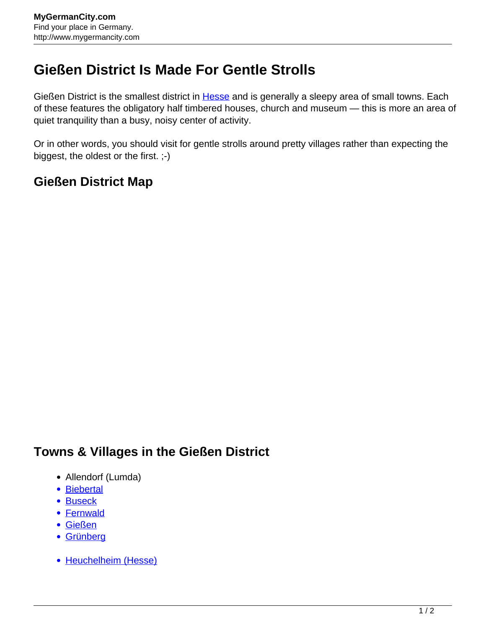## **Gießen District Is Made For Gentle Strolls**

Gießen District is the smallest district in **Hesse** and is generally a sleepy area of small towns. Each of these features the obligatory half timbered houses, church and museum — this is more an area of quiet tranquility than a busy, noisy center of activity.

Or in other words, you should visit for gentle strolls around pretty villages rather than expecting the biggest, the oldest or the first. ;-)

## **Gießen District Map**

## **Towns & Villages in the Gießen District**

- Allendorf (Lumda)
- [Biebertal](http://www.mygermancity.com/biebertal)
- [Buseck](http://www.mygermancity.com/buseck)
- [Fernwald](http://www.mygermancity.com/fernwald)
- [Gießen](http://www.mygermancity.com/giessen)
- [Grünberg](http://www.mygermancity.com/gruenberg)
- [Heuchelheim \(Hesse\)](http://www.mygermancity.com/heuchelheim-hesse)